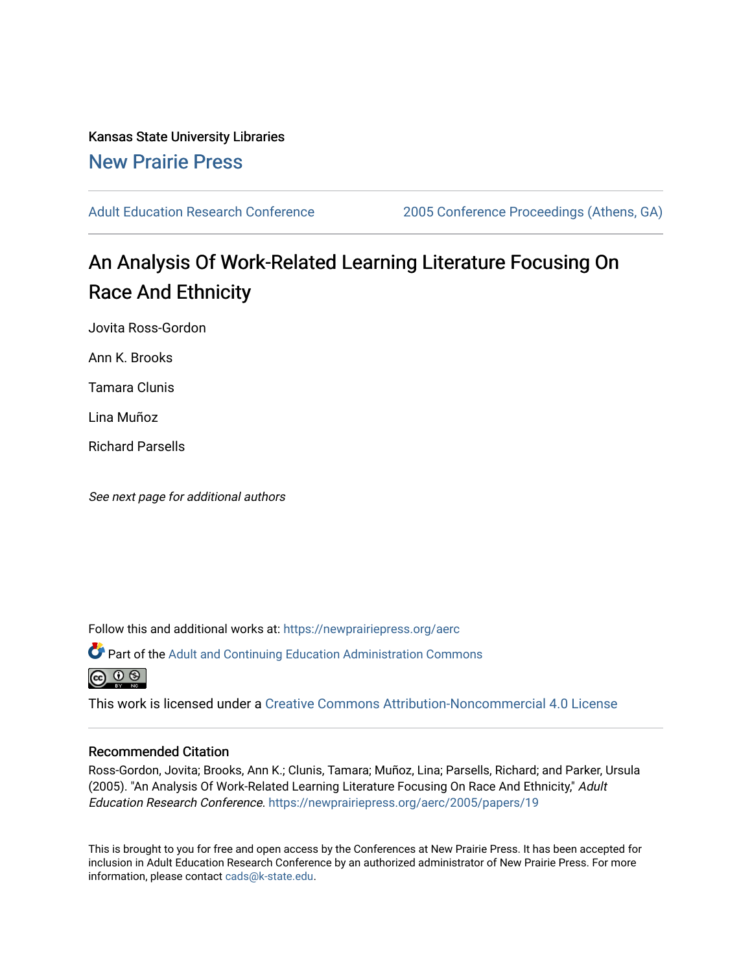Kansas State University Libraries [New Prairie Press](https://newprairiepress.org/) 

[Adult Education Research Conference](https://newprairiepress.org/aerc) [2005 Conference Proceedings \(Athens, GA\)](https://newprairiepress.org/aerc/2005) 

# An Analysis Of Work-Related Learning Literature Focusing On Race And Ethnicity

Jovita Ross-Gordon

Ann K. Brooks

Tamara Clunis

Lina Muñoz

Richard Parsells

See next page for additional authors

Follow this and additional works at: [https://newprairiepress.org/aerc](https://newprairiepress.org/aerc?utm_source=newprairiepress.org%2Faerc%2F2005%2Fpapers%2F19&utm_medium=PDF&utm_campaign=PDFCoverPages)

Part of the [Adult and Continuing Education Administration Commons](http://network.bepress.com/hgg/discipline/789?utm_source=newprairiepress.org%2Faerc%2F2005%2Fpapers%2F19&utm_medium=PDF&utm_campaign=PDFCoverPages) ര  $\odot$   $\odot$ 

This work is licensed under a [Creative Commons Attribution-Noncommercial 4.0 License](https://creativecommons.org/licenses/by-nc/4.0/)

## Recommended Citation

Ross-Gordon, Jovita; Brooks, Ann K.; Clunis, Tamara; Muñoz, Lina; Parsells, Richard; and Parker, Ursula (2005). "An Analysis Of Work-Related Learning Literature Focusing On Race And Ethnicity," Adult Education Research Conference. <https://newprairiepress.org/aerc/2005/papers/19>

This is brought to you for free and open access by the Conferences at New Prairie Press. It has been accepted for inclusion in Adult Education Research Conference by an authorized administrator of New Prairie Press. For more information, please contact [cads@k-state.edu](mailto:cads@k-state.edu).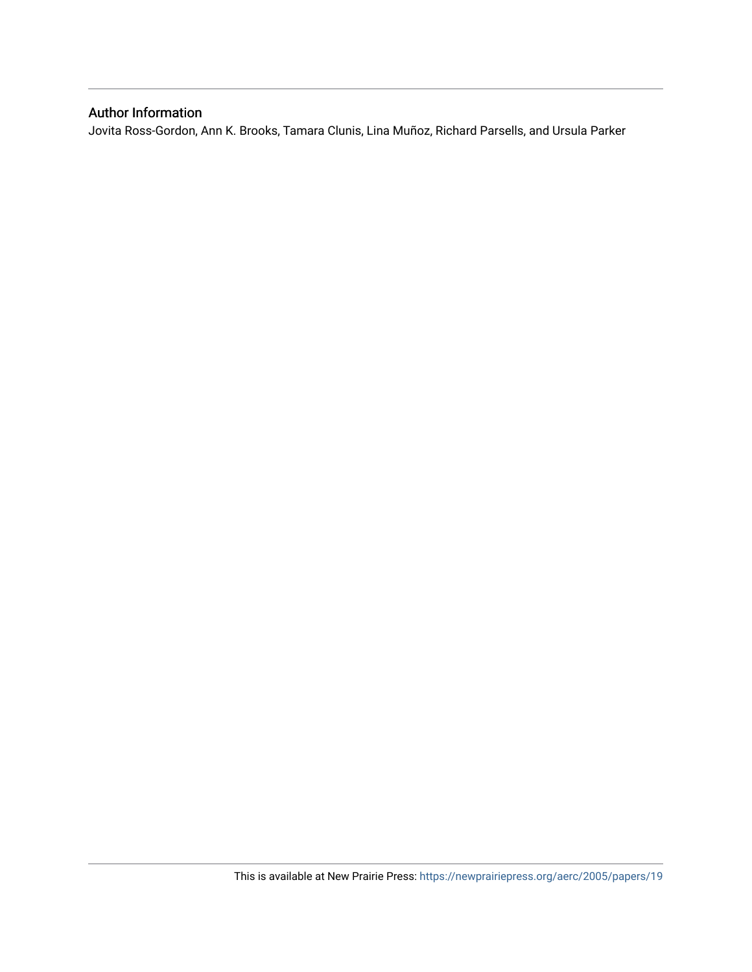# Author Information

Jovita Ross-Gordon, Ann K. Brooks, Tamara Clunis, Lina Muñoz, Richard Parsells, and Ursula Parker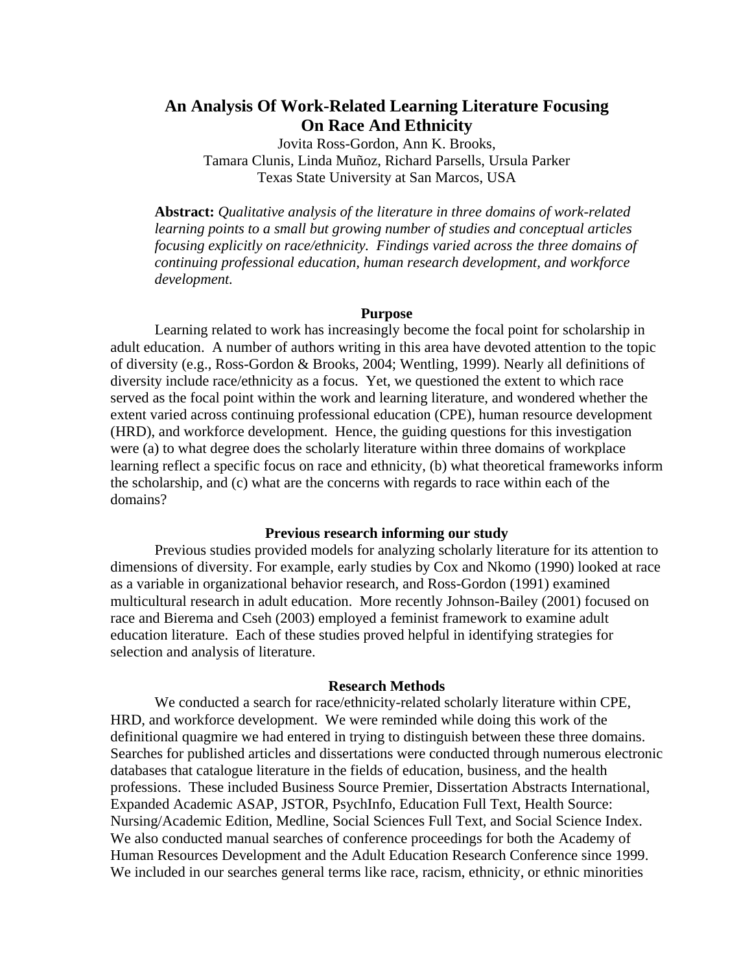# **An Analysis Of Work-Related Learning Literature Focusing On Race And Ethnicity**

Jovita Ross-Gordon, Ann K. Brooks, Tamara Clunis, Linda Muñoz, Richard Parsells, Ursula Parker Texas State University at San Marcos, USA

**Abstract:** *Qualitative analysis of the literature in three domains of work-related learning points to a small but growing number of studies and conceptual articles focusing explicitly on race/ethnicity. Findings varied across the three domains of continuing professional education, human research development, and workforce development.* 

#### **Purpose**

Learning related to work has increasingly become the focal point for scholarship in adult education. A number of authors writing in this area have devoted attention to the topic of diversity (e.g., Ross-Gordon & Brooks, 2004; Wentling, 1999). Nearly all definitions of diversity include race/ethnicity as a focus. Yet, we questioned the extent to which race served as the focal point within the work and learning literature, and wondered whether the extent varied across continuing professional education (CPE), human resource development (HRD), and workforce development. Hence, the guiding questions for this investigation were (a) to what degree does the scholarly literature within three domains of workplace learning reflect a specific focus on race and ethnicity, (b) what theoretical frameworks inform the scholarship, and (c) what are the concerns with regards to race within each of the domains?

### **Previous research informing our study**

Previous studies provided models for analyzing scholarly literature for its attention to dimensions of diversity. For example, early studies by Cox and Nkomo (1990) looked at race as a variable in organizational behavior research, and Ross-Gordon (1991) examined multicultural research in adult education. More recently Johnson-Bailey (2001) focused on race and Bierema and Cseh (2003) employed a feminist framework to examine adult education literature. Each of these studies proved helpful in identifying strategies for selection and analysis of literature.

#### **Research Methods**

We conducted a search for race/ethnicity-related scholarly literature within CPE, HRD, and workforce development. We were reminded while doing this work of the definitional quagmire we had entered in trying to distinguish between these three domains. Searches for published articles and dissertations were conducted through numerous electronic databases that catalogue literature in the fields of education, business, and the health professions. These included Business Source Premier, Dissertation Abstracts International, Expanded Academic ASAP, JSTOR, PsychInfo, Education Full Text, Health Source: Nursing/Academic Edition, Medline, Social Sciences Full Text, and Social Science Index. We also conducted manual searches of conference proceedings for both the Academy of Human Resources Development and the Adult Education Research Conference since 1999. We included in our searches general terms like race, racism, ethnicity, or ethnic minorities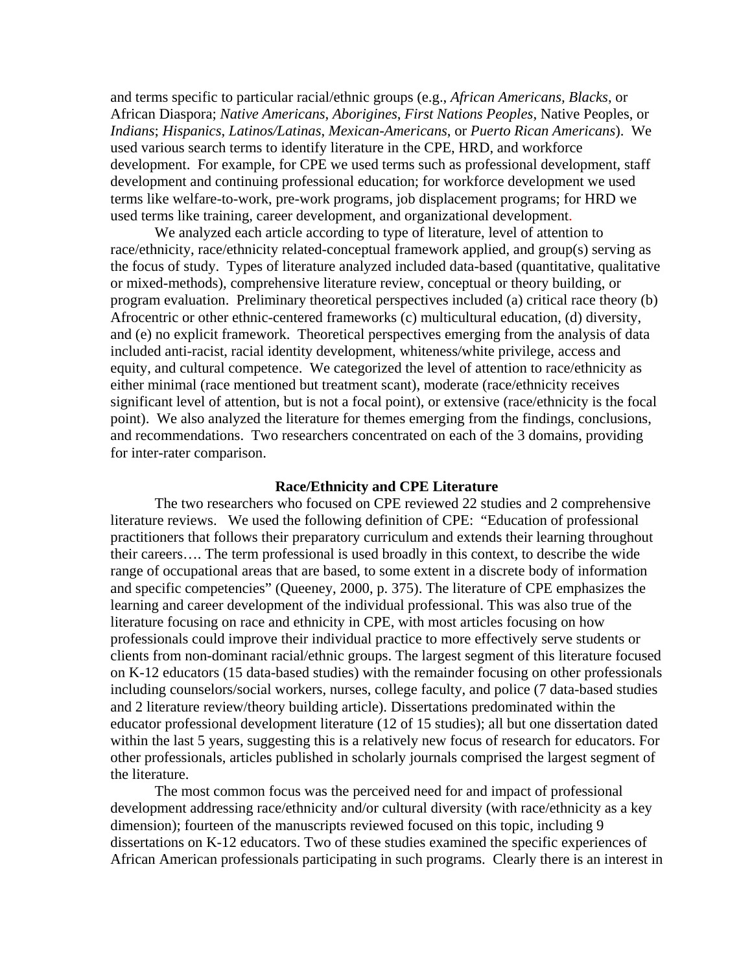and terms specific to particular racial/ethnic groups (e.g., *African Americans, Blacks*, or African Diaspora; *Native Americans*, *Aborigines*, *First Nations Peoples*, Native Peoples, or *Indians*; *Hispanics*, *Latinos/Latinas*, *Mexican-Americans*, or *Puerto Rican Americans*). We used various search terms to identify literature in the CPE, HRD, and workforce development. For example, for CPE we used terms such as professional development, staff development and continuing professional education; for workforce development we used terms like welfare-to-work, pre-work programs, job displacement programs; for HRD we used terms like training, career development, and organizational development.

We analyzed each article according to type of literature, level of attention to race/ethnicity, race/ethnicity related-conceptual framework applied, and group(s) serving as the focus of study. Types of literature analyzed included data-based (quantitative, qualitative or mixed-methods), comprehensive literature review, conceptual or theory building, or program evaluation. Preliminary theoretical perspectives included (a) critical race theory (b) Afrocentric or other ethnic-centered frameworks (c) multicultural education, (d) diversity, and (e) no explicit framework. Theoretical perspectives emerging from the analysis of data included anti-racist, racial identity development, whiteness/white privilege, access and equity, and cultural competence. We categorized the level of attention to race/ethnicity as either minimal (race mentioned but treatment scant), moderate (race/ethnicity receives significant level of attention, but is not a focal point), or extensive (race/ethnicity is the focal point). We also analyzed the literature for themes emerging from the findings, conclusions, and recommendations. Two researchers concentrated on each of the 3 domains, providing for inter-rater comparison.

#### **Race/Ethnicity and CPE Literature**

The two researchers who focused on CPE reviewed 22 studies and 2 comprehensive literature reviews. We used the following definition of CPE: "Education of professional practitioners that follows their preparatory curriculum and extends their learning throughout their careers…. The term professional is used broadly in this context, to describe the wide range of occupational areas that are based, to some extent in a discrete body of information and specific competencies" (Queeney, 2000, p. 375). The literature of CPE emphasizes the learning and career development of the individual professional. This was also true of the literature focusing on race and ethnicity in CPE, with most articles focusing on how professionals could improve their individual practice to more effectively serve students or clients from non-dominant racial/ethnic groups. The largest segment of this literature focused on K-12 educators (15 data-based studies) with the remainder focusing on other professionals including counselors/social workers, nurses, college faculty, and police (7 data-based studies and 2 literature review/theory building article). Dissertations predominated within the educator professional development literature (12 of 15 studies); all but one dissertation dated within the last 5 years, suggesting this is a relatively new focus of research for educators. For other professionals, articles published in scholarly journals comprised the largest segment of the literature.

 The most common focus was the perceived need for and impact of professional development addressing race/ethnicity and/or cultural diversity (with race/ethnicity as a key dimension); fourteen of the manuscripts reviewed focused on this topic, including 9 dissertations on K-12 educators. Two of these studies examined the specific experiences of African American professionals participating in such programs. Clearly there is an interest in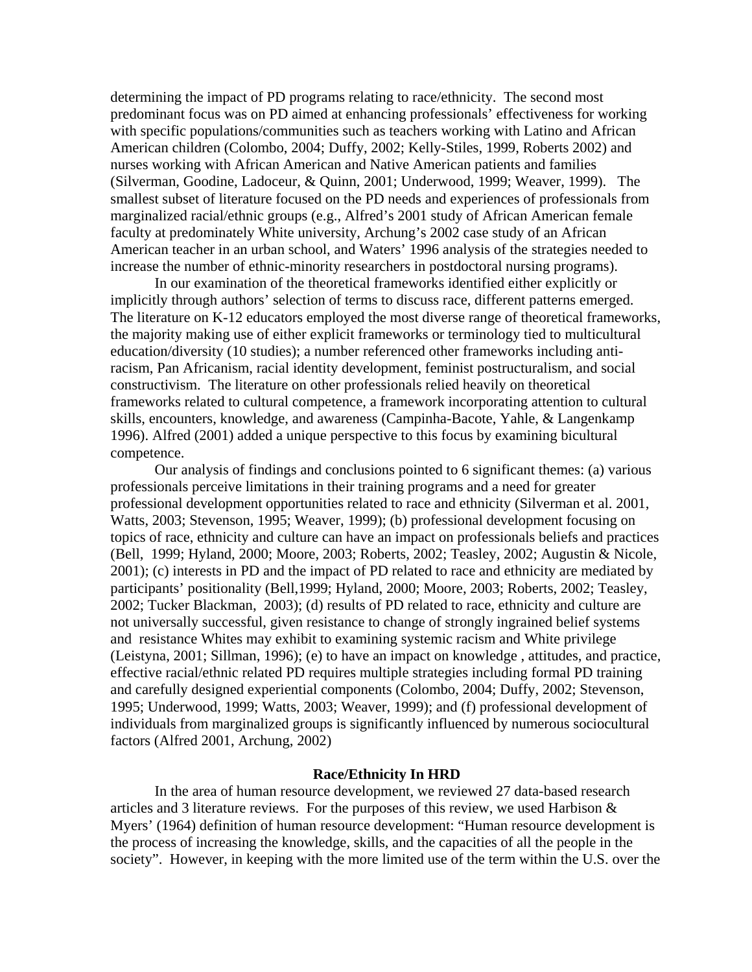determining the impact of PD programs relating to race/ethnicity. The second most predominant focus was on PD aimed at enhancing professionals' effectiveness for working with specific populations/communities such as teachers working with Latino and African American children (Colombo, 2004; Duffy, 2002; Kelly-Stiles, 1999, Roberts 2002) and nurses working with African American and Native American patients and families (Silverman, Goodine, Ladoceur, & Quinn, 2001; Underwood, 1999; Weaver, 1999). The smallest subset of literature focused on the PD needs and experiences of professionals from marginalized racial/ethnic groups (e.g., Alfred's 2001 study of African American female faculty at predominately White university, Archung's 2002 case study of an African American teacher in an urban school, and Waters' 1996 analysis of the strategies needed to increase the number of ethnic-minority researchers in postdoctoral nursing programs).

 In our examination of the theoretical frameworks identified either explicitly or implicitly through authors' selection of terms to discuss race, different patterns emerged. The literature on K-12 educators employed the most diverse range of theoretical frameworks, the majority making use of either explicit frameworks or terminology tied to multicultural education/diversity (10 studies); a number referenced other frameworks including antiracism, Pan Africanism, racial identity development, feminist postructuralism, and social constructivism. The literature on other professionals relied heavily on theoretical frameworks related to cultural competence, a framework incorporating attention to cultural skills, encounters, knowledge, and awareness (Campinha-Bacote, Yahle, & Langenkamp 1996). Alfred (2001) added a unique perspective to this focus by examining bicultural competence.

Our analysis of findings and conclusions pointed to 6 significant themes: (a) various professionals perceive limitations in their training programs and a need for greater professional development opportunities related to race and ethnicity (Silverman et al. 2001, Watts, 2003; Stevenson, 1995; Weaver, 1999); (b) professional development focusing on topics of race, ethnicity and culture can have an impact on professionals beliefs and practices (Bell, 1999; Hyland, 2000; Moore, 2003; Roberts, 2002; Teasley, 2002; Augustin & Nicole, 2001); (c) interests in PD and the impact of PD related to race and ethnicity are mediated by participants' positionality (Bell,1999; Hyland, 2000; Moore, 2003; Roberts, 2002; Teasley, 2002; Tucker Blackman, 2003); (d) results of PD related to race, ethnicity and culture are not universally successful, given resistance to change of strongly ingrained belief systems and resistance Whites may exhibit to examining systemic racism and White privilege (Leistyna, 2001; Sillman, 1996); (e) to have an impact on knowledge , attitudes, and practice, effective racial/ethnic related PD requires multiple strategies including formal PD training and carefully designed experiential components (Colombo, 2004; Duffy, 2002; Stevenson, 1995; Underwood, 1999; Watts, 2003; Weaver, 1999); and (f) professional development of individuals from marginalized groups is significantly influenced by numerous sociocultural factors (Alfred 2001, Archung, 2002)

#### **Race/Ethnicity In HRD**

In the area of human resource development, we reviewed 27 data-based research articles and 3 literature reviews. For the purposes of this review, we used Harbison & Myers' (1964) definition of human resource development: "Human resource development is the process of increasing the knowledge, skills, and the capacities of all the people in the society". However, in keeping with the more limited use of the term within the U.S. over the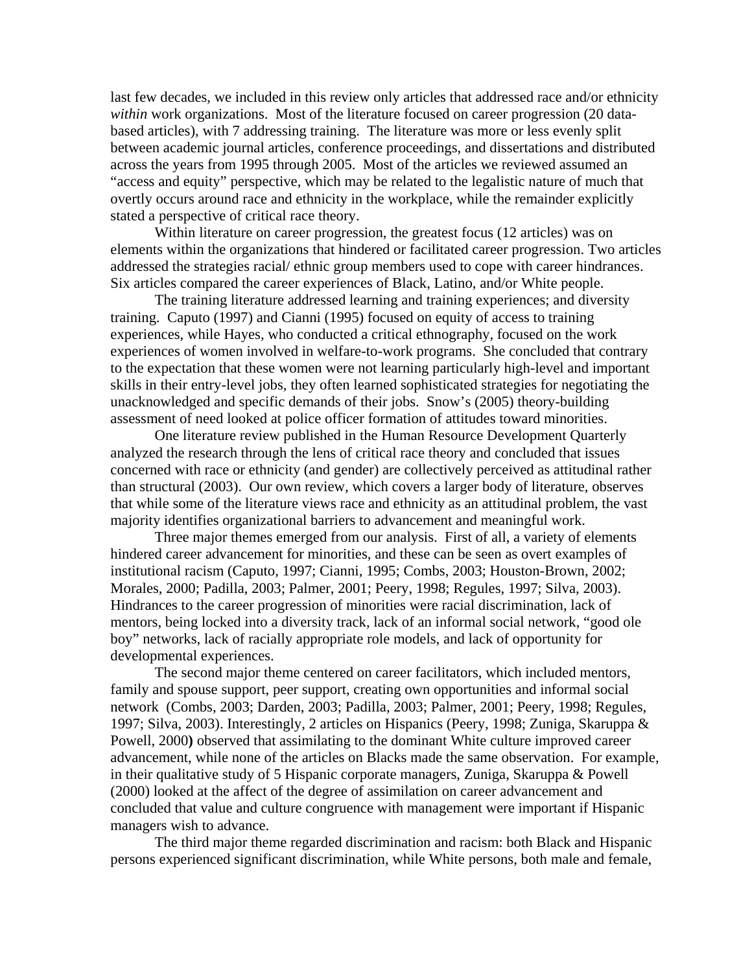last few decades, we included in this review only articles that addressed race and/or ethnicity *within* work organizations. Most of the literature focused on career progression (20 databased articles), with 7 addressing training. The literature was more or less evenly split between academic journal articles, conference proceedings, and dissertations and distributed across the years from 1995 through 2005. Most of the articles we reviewed assumed an "access and equity" perspective, which may be related to the legalistic nature of much that overtly occurs around race and ethnicity in the workplace, while the remainder explicitly stated a perspective of critical race theory.

Within literature on career progression, the greatest focus (12 articles) was on elements within the organizations that hindered or facilitated career progression. Two articles addressed the strategies racial/ ethnic group members used to cope with career hindrances. Six articles compared the career experiences of Black, Latino, and/or White people.

The training literature addressed learning and training experiences; and diversity training. Caputo (1997) and Cianni (1995) focused on equity of access to training experiences, while Hayes, who conducted a critical ethnography, focused on the work experiences of women involved in welfare-to-work programs. She concluded that contrary to the expectation that these women were not learning particularly high-level and important skills in their entry-level jobs, they often learned sophisticated strategies for negotiating the unacknowledged and specific demands of their jobs. Snow's (2005) theory-building assessment of need looked at police officer formation of attitudes toward minorities.

One literature review published in the Human Resource Development Quarterly analyzed the research through the lens of critical race theory and concluded that issues concerned with race or ethnicity (and gender) are collectively perceived as attitudinal rather than structural (2003). Our own review, which covers a larger body of literature, observes that while some of the literature views race and ethnicity as an attitudinal problem, the vast majority identifies organizational barriers to advancement and meaningful work.

 Three major themes emerged from our analysis. First of all, a variety of elements hindered career advancement for minorities, and these can be seen as overt examples of institutional racism (Caputo, 1997; Cianni, 1995; Combs, 2003; Houston-Brown, 2002; Morales, 2000; Padilla, 2003; Palmer, 2001; Peery, 1998; Regules, 1997; Silva, 2003). Hindrances to the career progression of minorities were racial discrimination, lack of mentors, being locked into a diversity track, lack of an informal social network, "good ole boy" networks, lack of racially appropriate role models, and lack of opportunity for developmental experiences.

The second major theme centered on career facilitators, which included mentors, family and spouse support, peer support, creating own opportunities and informal social network (Combs, 2003; Darden, 2003; Padilla, 2003; Palmer, 2001; Peery, 1998; Regules, 1997; Silva, 2003). Interestingly, 2 articles on Hispanics (Peery, 1998; Zuniga, Skaruppa & Powell, 2000**)** observed that assimilating to the dominant White culture improved career advancement, while none of the articles on Blacks made the same observation. For example, in their qualitative study of 5 Hispanic corporate managers, Zuniga, Skaruppa  $\&$  Powell (2000) looked at the affect of the degree of assimilation on career advancement and concluded that value and culture congruence with management were important if Hispanic managers wish to advance.

The third major theme regarded discrimination and racism: both Black and Hispanic persons experienced significant discrimination, while White persons, both male and female,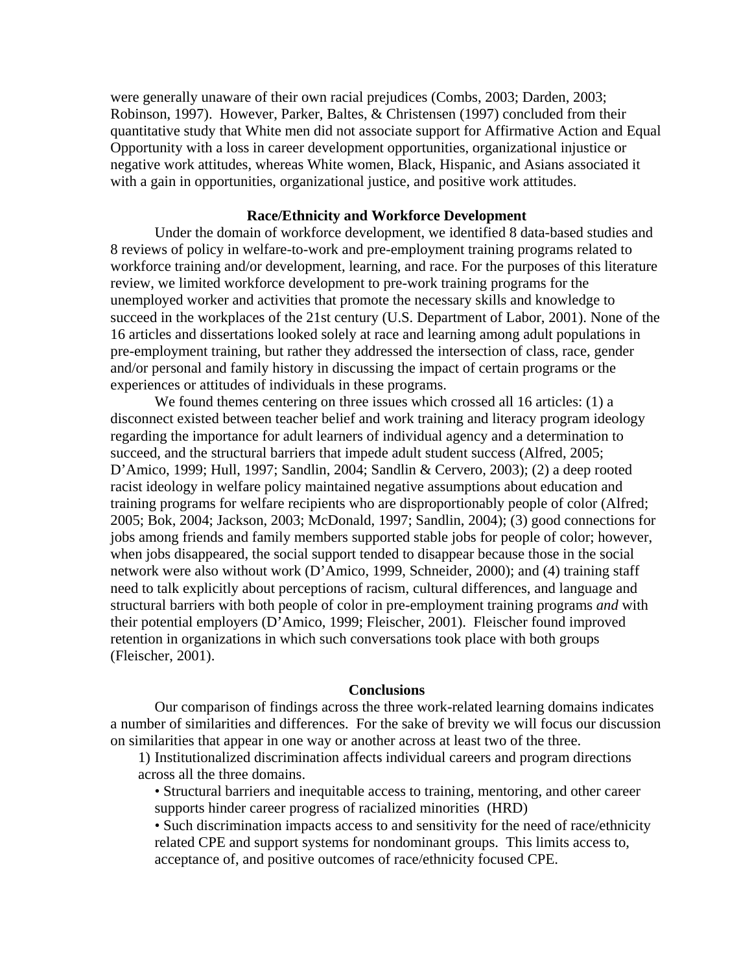were generally unaware of their own racial prejudices (Combs, 2003; Darden, 2003; Robinson, 1997). However, Parker, Baltes, & Christensen (1997) concluded from their quantitative study that White men did not associate support for Affirmative Action and Equal Opportunity with a loss in career development opportunities, organizational injustice or negative work attitudes, whereas White women, Black, Hispanic, and Asians associated it with a gain in opportunities, organizational justice, and positive work attitudes.

# **Race/Ethnicity and Workforce Development**

Under the domain of workforce development, we identified 8 data-based studies and 8 reviews of policy in welfare-to-work and pre-employment training programs related to workforce training and/or development, learning, and race. For the purposes of this literature review, we limited workforce development to pre-work training programs for the unemployed worker and activities that promote the necessary skills and knowledge to succeed in the workplaces of the 21st century (U.S. Department of Labor, 2001). None of the 16 articles and dissertations looked solely at race and learning among adult populations in pre-employment training, but rather they addressed the intersection of class, race, gender and/or personal and family history in discussing the impact of certain programs or the experiences or attitudes of individuals in these programs.

We found themes centering on three issues which crossed all 16 articles: (1) a disconnect existed between teacher belief and work training and literacy program ideology regarding the importance for adult learners of individual agency and a determination to succeed, and the structural barriers that impede adult student success (Alfred, 2005; D'Amico, 1999; Hull, 1997; Sandlin, 2004; Sandlin & Cervero, 2003); (2) a deep rooted racist ideology in welfare policy maintained negative assumptions about education and training programs for welfare recipients who are disproportionably people of color (Alfred; 2005; Bok, 2004; Jackson, 2003; McDonald, 1997; Sandlin, 2004); (3) good connections for jobs among friends and family members supported stable jobs for people of color; however, when jobs disappeared, the social support tended to disappear because those in the social network were also without work (D'Amico, 1999, Schneider, 2000); and (4) training staff need to talk explicitly about perceptions of racism, cultural differences, and language and structural barriers with both people of color in pre-employment training programs *and* with their potential employers (D'Amico, 1999; Fleischer, 2001). Fleischer found improved retention in organizations in which such conversations took place with both groups (Fleischer, 2001).

#### **Conclusions**

Our comparison of findings across the three work-related learning domains indicates a number of similarities and differences. For the sake of brevity we will focus our discussion on similarities that appear in one way or another across at least two of the three.

1) Institutionalized discrimination affects individual careers and program directions across all the three domains.

• Structural barriers and inequitable access to training, mentoring, and other career supports hinder career progress of racialized minorities (HRD)

• Such discrimination impacts access to and sensitivity for the need of race/ethnicity related CPE and support systems for nondominant groups. This limits access to, acceptance of, and positive outcomes of race/ethnicity focused CPE.